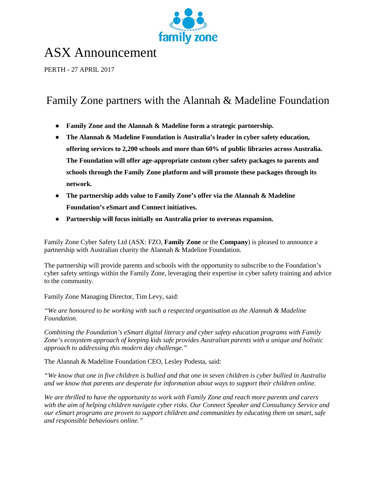

# ASX Announcement

PERTH - 27 APRIL 2017

## Family Zone partners with the Alannah & Madeline Foundation

- **Family Zone and the Alannah & Madeline form a strategic partnership.**
- **The Alannah & Madeline Foundation is Australia's leader in cyber safety education, offering services to 2,200 schools and more than 60% of public libraries across Australia. The Foundation will offer age-appropriate custom cyber safety packages to parents and schools through the Family Zone platform and will promote these packages through its network.**
- **The partnership adds value to Family Zone's offer via the Alannah & Madeline Foundation's eSmart and Connect initiatives.**
- **Partnership will focus initially on Australia prior to overseas expansion.**

Family Zone Cyber Safety Ltd (ASX: FZO, **Family Zone** or the **Company**) is pleased to announce a partnership with Australian charity the Alannah & Madeline Foundation.

The partnership will provide parents and schools with the opportunity to subscribe to the Foundation's cyber safety settings within the Family Zone, leveraging their expertise in cyber safety training and advice to the community.

Family Zone Managing Director, Tim Levy, said:

*"We are honoured to be working with such a respected organisation as the Alannah & Madeline Foundation.* 

*Combining the Foundation's eSmart digital literacy and cyber safety education programs with Family Zone's ecosystem approach of keeping kids safe provides Australian parents with a unique and holistic approach to addressing this modern day challenge."*

The Alannah & Madeline Foundation CEO, Lesley Podesta, said:

*"We know that one in five children is bullied and that one in seven children is cyber bullied in Australia and we know that parents are desperate for information about ways to support their children online.*

*We are thrilled to have the opportunity to work with Family Zone and reach more parents and carers with the aim of helping children navigate cyber risks. Our Connect Speaker and Consultancy Service and our eSmart programs are proven to support children and communities by educating them on smart, safe and responsible behaviours online."*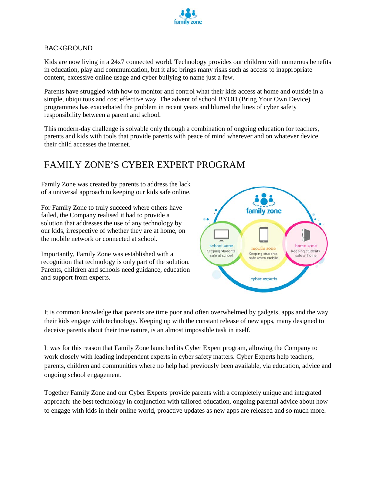

#### BACKGROUND

Kids are now living in a 24x7 connected world. Technology provides our children with numerous benefits in education, play and communication, but it also brings many risks such as access to inappropriate content, excessive online usage and cyber bullying to name just a few.

Parents have struggled with how to monitor and control what their kids access at home and outside in a simple, ubiquitous and cost effective way. The advent of school BYOD (Bring Your Own Device) programmes has exacerbated the problem in recent years and blurred the lines of cyber safety responsibility between a parent and school.

This modern-day challenge is solvable only through a combination of ongoing education for teachers, parents and kids with tools that provide parents with peace of mind wherever and on whatever device their child accesses the internet.

#### FAMILY ZONE'S CYBER EXPERT PROGRAM

Family Zone was created by parents to address the lack of a universal approach to keeping our kids safe online.

For Family Zone to truly succeed where others have failed, the Company realised it had to provide a solution that addresses the use of any technology by our kids, irrespective of whether they are at home, on the mobile network or connected at school.

Importantly, Family Zone was established with a recognition that technology is only part of the solution. Parents, children and schools need guidance, education and support from experts.



It is common knowledge that parents are time poor and often overwhelmed by gadgets, apps and the way their kids engage with technology. Keeping up with the constant release of new apps, many designed to deceive parents about their true nature, is an almost impossible task in itself.

It was for this reason that Family Zone launched its Cyber Expert program, allowing the Company to work closely with leading independent experts in cyber safety matters. Cyber Experts help teachers, parents, children and communities where no help had previously been available, via education, advice and ongoing school engagement.

Together Family Zone and our Cyber Experts provide parents with a completely unique and integrated approach: the best technology in conjunction with tailored education, ongoing parental advice about how to engage with kids in their online world, proactive updates as new apps are released and so much more.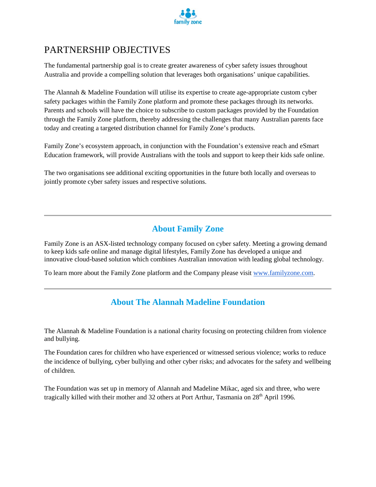

### PARTNERSHIP OBJECTIVES

The fundamental partnership goal is to create greater awareness of cyber safety issues throughout Australia and provide a compelling solution that leverages both organisations' unique capabilities.

The Alannah & Madeline Foundation will utilise its expertise to create age-appropriate custom cyber safety packages within the Family Zone platform and promote these packages through its networks. Parents and schools will have the choice to subscribe to custom packages provided by the Foundation through the Family Zone platform, thereby addressing the challenges that many Australian parents face today and creating a targeted distribution channel for Family Zone's products.

Family Zone's ecosystem approach, in conjunction with the Foundation's extensive reach and eSmart Education framework, will provide Australians with the tools and support to keep their kids safe online.

The two organisations see additional exciting opportunities in the future both locally and overseas to jointly promote cyber safety issues and respective solutions.

#### **About Family Zone**

Family Zone is an ASX-listed technology company focused on cyber safety. Meeting a growing demand to keep kids safe online and manage digital lifestyles, Family Zone has developed a unique and innovative cloud-based solution which combines Australian innovation with leading global technology.

To learn more about the Family Zone platform and the Company please visit [www.familyzone.com.](http://www.familyzone.com/)

#### **About The Alannah Madeline Foundation**

The Alannah & Madeline Foundation is a national charity focusing on protecting children from violence and bullying.

The Foundation cares for children who have experienced or witnessed serious violence; works to reduce the incidence of bullying, cyber bullying and other cyber risks; and advocates for the safety and wellbeing of children.

The Foundation was set up in memory of Alannah and Madeline Mikac, aged six and three, who were tragically killed with their mother and 32 others at Port Arthur, Tasmania on  $28<sup>th</sup>$  April 1996.